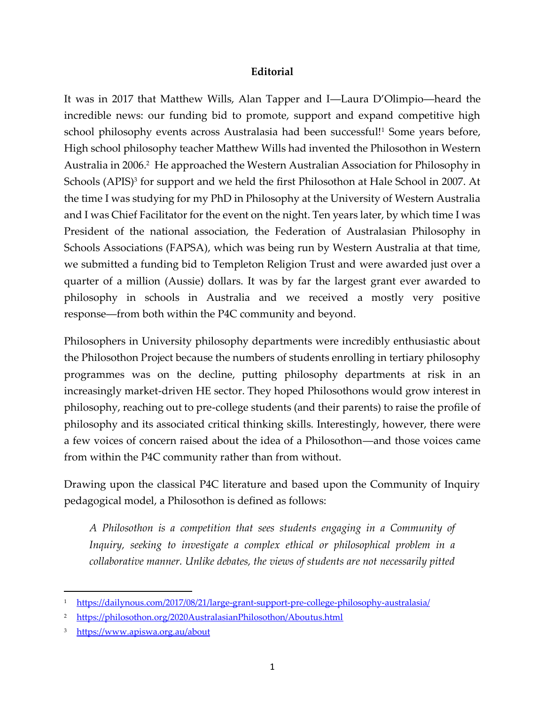## **Editorial**

It was in 2017 that Matthew Wills, Alan Tapper and I―Laura D'Olimpio―heard the incredible news: our funding bid to promote, support and expand competitive high school philosophy events across Australasia had been successful!<sup>1</sup> Some years before, High school philosophy teacher Matthew Wills had invented the Philosothon in Western Australia in 2006. 2 He approached the Western Australian Association for Philosophy in Schools (APIS)<sup>3</sup> for support and we held the first Philosothon at Hale School in 2007. At the time I was studying for my PhD in Philosophy at the University of Western Australia and I was Chief Facilitator for the event on the night. Ten years later, by which time I was President of the national association, the Federation of Australasian Philosophy in Schools Associations (FAPSA), which was being run by Western Australia at that time, we submitted a funding bid to Templeton Religion Trust and were awarded just over a quarter of a million (Aussie) dollars. It was by far the largest grant ever awarded to philosophy in schools in Australia and we received a mostly very positive response―from both within the P4C community and beyond.

Philosophers in University philosophy departments were incredibly enthusiastic about the Philosothon Project because the numbers of students enrolling in tertiary philosophy programmes was on the decline, putting philosophy departments at risk in an increasingly market-driven HE sector. They hoped Philosothons would grow interest in philosophy, reaching out to pre-college students (and their parents) to raise the profile of philosophy and its associated critical thinking skills. Interestingly, however, there were a few voices of concern raised about the idea of a Philosothon―and those voices came from within the P4C community rather than from without.

Drawing upon the classical P4C literature and based upon the Community of Inquiry pedagogical model, a Philosothon is defined as follows:

*A Philosothon is a competition that sees students engaging in a Community of Inquiry, seeking to investigate a complex ethical or philosophical problem in a collaborative manner. Unlike debates, the views of students are not necessarily pitted* 

<sup>1</sup> <https://dailynous.com/2017/08/21/large-grant-support-pre-college-philosophy-australasia/>

<sup>2</sup> <https://philosothon.org/2020AustralasianPhilosothon/Aboutus.html>

<sup>3</sup> <https://www.apiswa.org.au/about>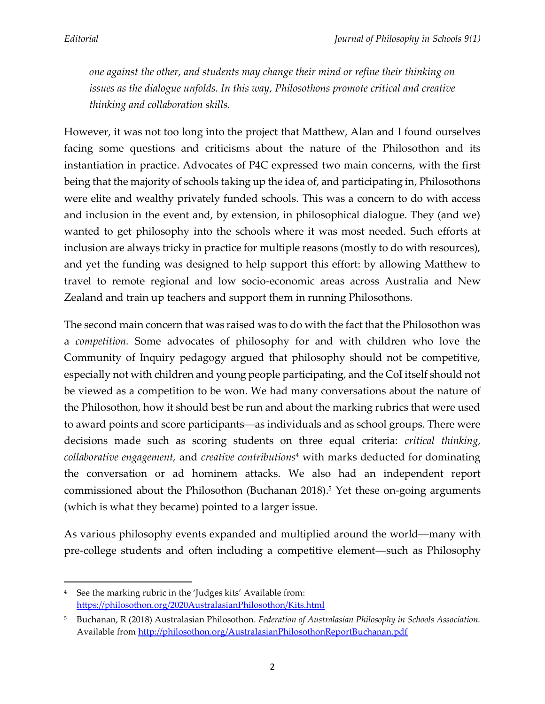*one against the other, and students may change their mind or refine their thinking on issues as the dialogue unfolds. In this way, Philosothons promote critical and creative thinking and collaboration skills.*

However, it was not too long into the project that Matthew, Alan and I found ourselves facing some questions and criticisms about the nature of the Philosothon and its instantiation in practice. Advocates of P4C expressed two main concerns, with the first being that the majority of schools taking up the idea of, and participating in, Philosothons were elite and wealthy privately funded schools. This was a concern to do with access and inclusion in the event and, by extension, in philosophical dialogue. They (and we) wanted to get philosophy into the schools where it was most needed. Such efforts at inclusion are always tricky in practice for multiple reasons (mostly to do with resources), and yet the funding was designed to help support this effort: by allowing Matthew to travel to remote regional and low socio-economic areas across Australia and New Zealand and train up teachers and support them in running Philosothons.

The second main concern that was raised was to do with the fact that the Philosothon was a *competition.* Some advocates of philosophy for and with children who love the Community of Inquiry pedagogy argued that philosophy should not be competitive, especially not with children and young people participating, and the CoI itself should not be viewed as a competition to be won. We had many conversations about the nature of the Philosothon, how it should best be run and about the marking rubrics that were used to award points and score participants―as individuals and as school groups. There were decisions made such as scoring students on three equal criteria: *critical thinking, collaborative engagement,* and *creative contributions*<sup>4</sup> with marks deducted for dominating the conversation or ad hominem attacks. We also had an independent report commissioned about the Philosothon (Buchanan 2018). <sup>5</sup> Yet these on-going arguments (which is what they became) pointed to a larger issue.

As various philosophy events expanded and multiplied around the world―many with pre-college students and often including a competitive element―such as Philosophy

<sup>4</sup> See the marking rubric in the 'Judges kits' Available from: <https://philosothon.org/2020AustralasianPhilosothon/Kits.html>

<sup>5</sup> Buchanan, R (2018) Australasian Philosothon. *Federation of Australasian Philosophy in Schools Association.* Available from<http://philosothon.org/AustralasianPhilosothonReportBuchanan.pdf>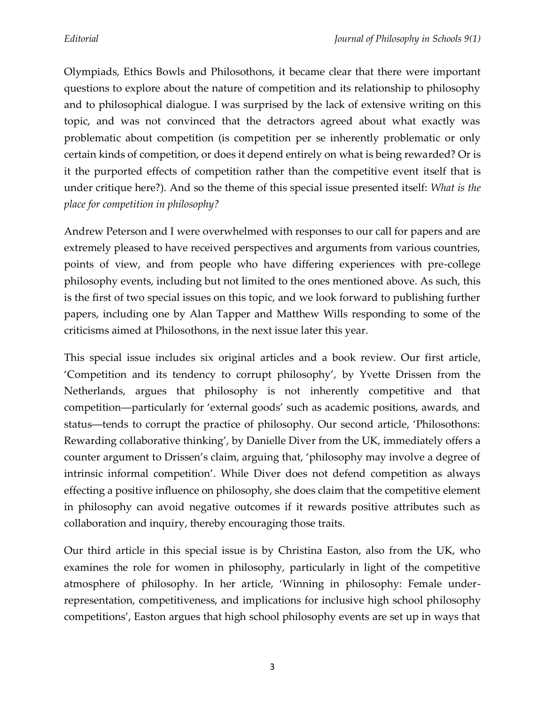Olympiads, Ethics Bowls and Philosothons, it became clear that there were important questions to explore about the nature of competition and its relationship to philosophy and to philosophical dialogue. I was surprised by the lack of extensive writing on this topic, and was not convinced that the detractors agreed about what exactly was problematic about competition (is competition per se inherently problematic or only certain kinds of competition, or does it depend entirely on what is being rewarded? Or is it the purported effects of competition rather than the competitive event itself that is under critique here?). And so the theme of this special issue presented itself: *What is the place for competition in philosophy?*

Andrew Peterson and I were overwhelmed with responses to our call for papers and are extremely pleased to have received perspectives and arguments from various countries, points of view, and from people who have differing experiences with pre-college philosophy events, including but not limited to the ones mentioned above. As such, this is the first of two special issues on this topic, and we look forward to publishing further papers, including one by Alan Tapper and Matthew Wills responding to some of the criticisms aimed at Philosothons, in the next issue later this year.

This special issue includes six original articles and a book review. Our first article, 'Competition and its tendency to corrupt philosophy', by Yvette Drissen from the Netherlands, argues that philosophy is not inherently competitive and that competition―particularly for 'external goods' such as academic positions, awards, and status―tends to corrupt the practice of philosophy. Our second article, 'Philosothons: Rewarding collaborative thinking', by Danielle Diver from the UK, immediately offers a counter argument to Drissen's claim, arguing that, 'philosophy may involve a degree of intrinsic informal competition'. While Diver does not defend competition as always effecting a positive influence on philosophy, she does claim that the competitive element in philosophy can avoid negative outcomes if it rewards positive attributes such as collaboration and inquiry, thereby encouraging those traits.

Our third article in this special issue is by Christina Easton, also from the UK, who examines the role for women in philosophy, particularly in light of the competitive atmosphere of philosophy. In her article, 'Winning in philosophy: Female underrepresentation, competitiveness, and implications for inclusive high school philosophy competitions', Easton argues that high school philosophy events are set up in ways that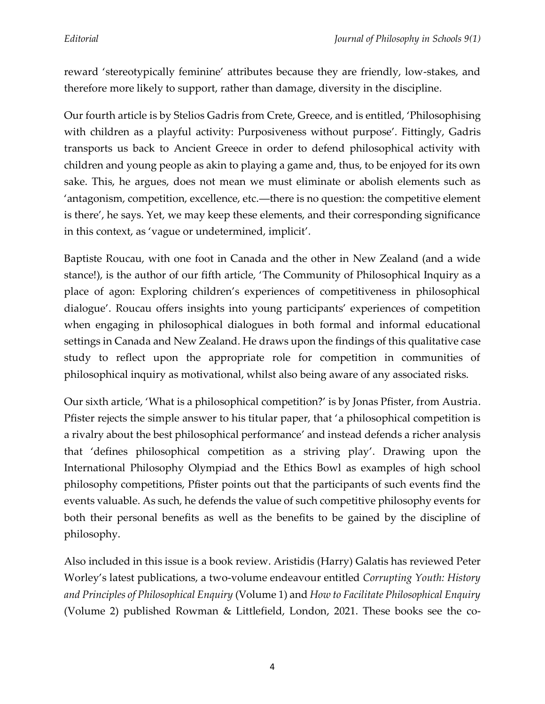reward 'stereotypically feminine' attributes because they are friendly, low-stakes, and therefore more likely to support, rather than damage, diversity in the discipline.

Our fourth article is by Stelios Gadris from Crete, Greece, and is entitled, 'Philosophising with children as a playful activity: Purposiveness without purpose'. Fittingly, Gadris transports us back to Ancient Greece in order to defend philosophical activity with children and young people as akin to playing a game and, thus, to be enjoyed for its own sake. This, he argues, does not mean we must eliminate or abolish elements such as 'antagonism, competition, excellence, etc.―there is no question: the competitive element is there', he says. Yet, we may keep these elements, and their corresponding significance in this context, as 'vague or undetermined, implicit'.

Baptiste Roucau, with one foot in Canada and the other in New Zealand (and a wide stance!), is the author of our fifth article, 'The Community of Philosophical Inquiry as a place of agon: Exploring children's experiences of competitiveness in philosophical dialogue'. Roucau offers insights into young participants' experiences of competition when engaging in philosophical dialogues in both formal and informal educational settings in Canada and New Zealand. He draws upon the findings of this qualitative case study to reflect upon the appropriate role for competition in communities of philosophical inquiry as motivational, whilst also being aware of any associated risks.

Our sixth article, 'What is a philosophical competition?' is by Jonas Pfister, from Austria. Pfister rejects the simple answer to his titular paper, that 'a philosophical competition is a rivalry about the best philosophical performance' and instead defends a richer analysis that 'defines philosophical competition as a striving play'. Drawing upon the International Philosophy Olympiad and the Ethics Bowl as examples of high school philosophy competitions, Pfister points out that the participants of such events find the events valuable. As such, he defends the value of such competitive philosophy events for both their personal benefits as well as the benefits to be gained by the discipline of philosophy.

Also included in this issue is a book review. Aristidis (Harry) Galatis has reviewed Peter Worley's latest publications, a two-volume endeavour entitled *Corrupting Youth: History and Principles of Philosophical Enquiry* (Volume 1) and *How to Facilitate Philosophical Enquiry*  (Volume 2) published Rowman & Littlefield, London, 2021. These books see the co